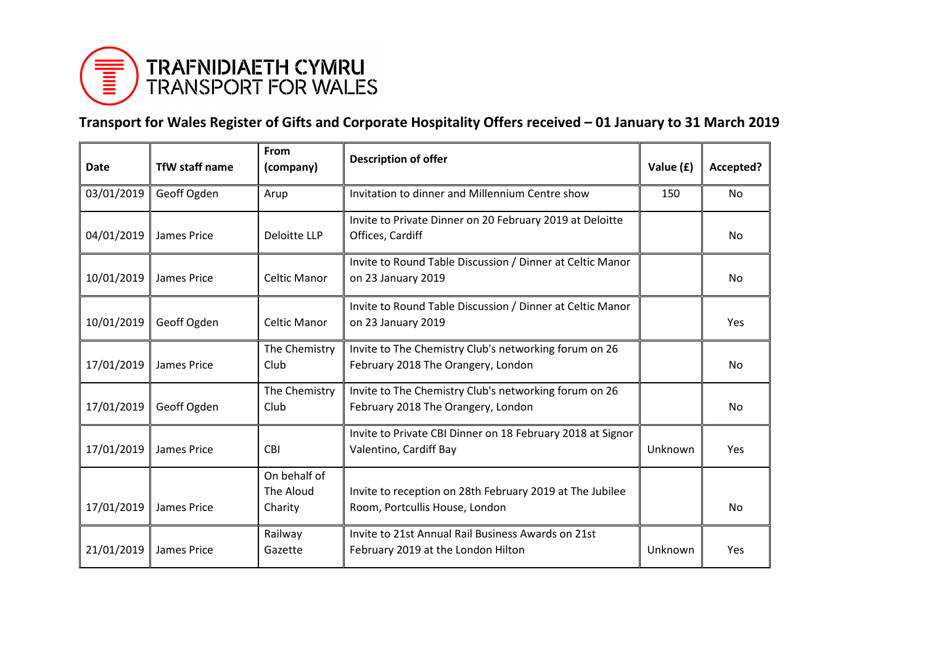

## **Transport for Wales Register of Gifts and Corporate Hospitality Offers received – 01 January to 31 March 2019**

| Date       | <b>TfW staff name</b> | From<br>(company)         | <b>Description of offer</b>                                                                 | Value (£) | Accepted? |
|------------|-----------------------|---------------------------|---------------------------------------------------------------------------------------------|-----------|-----------|
| 03/01/2019 | Geoff Ogden           | Arup                      | Invitation to dinner and Millennium Centre show                                             | 150       | <b>No</b> |
| 04/01/2019 | James Price           | Deloitte LLP              | Invite to Private Dinner on 20 February 2019 at Deloitte<br>Offices, Cardiff                |           | No        |
| 10/01/2019 | James Price           | Celtic Manor              | Invite to Round Table Discussion / Dinner at Celtic Manor<br>on 23 January 2019             |           | No        |
| 10/01/2019 | Geoff Ogden           | Celtic Manor              | Invite to Round Table Discussion / Dinner at Celtic Manor<br>on 23 January 2019             |           | Yes       |
| 17/01/2019 | James Price           | The Chemistry<br>Club     | Invite to The Chemistry Club's networking forum on 26<br>February 2018 The Orangery, London |           | <b>No</b> |
| 17/01/2019 | Geoff Ogden           | The Chemistry<br>Club     | Invite to The Chemistry Club's networking forum on 26<br>February 2018 The Orangery, London |           | No        |
| 17/01/2019 | James Price           | <b>CBI</b>                | Invite to Private CBI Dinner on 18 February 2018 at Signor<br>Valentino, Cardiff Bay        | Unknown   | Yes       |
|            |                       | On behalf of<br>The Aloud |                                                                                             |           |           |
| 17/01/2019 | James Price           | Charity                   | Invite to reception on 28th February 2019 at The Jubilee<br>Room, Portcullis House, London  |           | No        |
| 21/01/2019 | James Price           | Railway<br>Gazette        | Invite to 21st Annual Rail Business Awards on 21st<br>February 2019 at the London Hilton    | Unknown   | Yes       |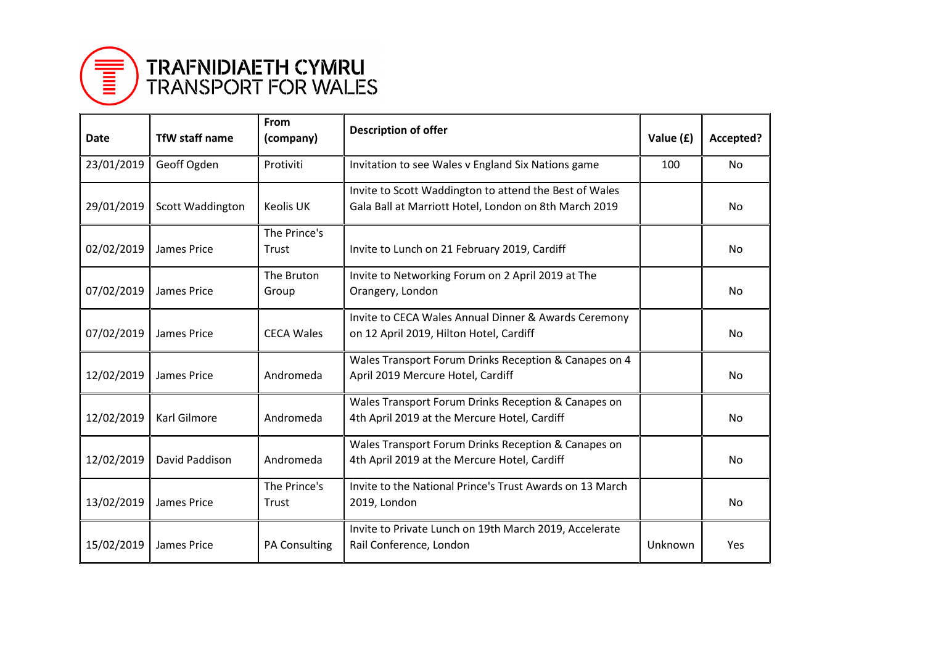

## TRAFNIDIAETH CYMRU<br>TRANSPORT FOR WALES

| Date       | <b>TfW staff name</b> | From<br>(company)     | <b>Description of offer</b>                                                                                     | Value (£) | Accepted? |
|------------|-----------------------|-----------------------|-----------------------------------------------------------------------------------------------------------------|-----------|-----------|
| 23/01/2019 | Geoff Ogden           | Protiviti             | Invitation to see Wales v England Six Nations game                                                              | 100       | No        |
| 29/01/2019 | Scott Waddington      | Keolis UK             | Invite to Scott Waddington to attend the Best of Wales<br>Gala Ball at Marriott Hotel, London on 8th March 2019 |           | No.       |
| 02/02/2019 | James Price           | The Prince's<br>Trust | Invite to Lunch on 21 February 2019, Cardiff                                                                    |           | No.       |
| 07/02/2019 | James Price           | The Bruton<br>Group   | Invite to Networking Forum on 2 April 2019 at The<br>Orangery, London                                           |           | No.       |
| 07/02/2019 | James Price           | <b>CECA Wales</b>     | Invite to CECA Wales Annual Dinner & Awards Ceremony<br>on 12 April 2019, Hilton Hotel, Cardiff                 |           | No.       |
| 12/02/2019 | James Price           | Andromeda             | Wales Transport Forum Drinks Reception & Canapes on 4<br>April 2019 Mercure Hotel, Cardiff                      |           | No.       |
| 12/02/2019 | <b>Karl Gilmore</b>   | Andromeda             | Wales Transport Forum Drinks Reception & Canapes on<br>4th April 2019 at the Mercure Hotel, Cardiff             |           | No.       |
| 12/02/2019 | David Paddison        | Andromeda             | Wales Transport Forum Drinks Reception & Canapes on<br>4th April 2019 at the Mercure Hotel, Cardiff             |           | No.       |
| 13/02/2019 | James Price           | The Prince's<br>Trust | Invite to the National Prince's Trust Awards on 13 March<br>2019, London                                        |           | No        |
| 15/02/2019 | James Price           | PA Consulting         | Invite to Private Lunch on 19th March 2019, Accelerate<br>Rail Conference, London                               | Unknown   | Yes       |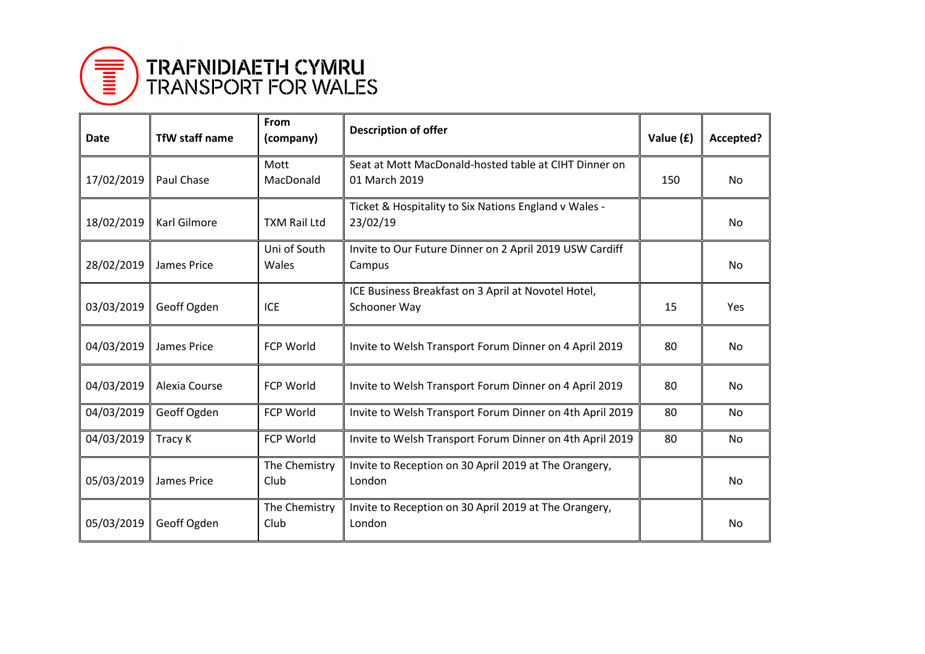

## TRAFNIDIAETH CYMRU<br>TRANSPORT FOR WALES

| Date       | <b>TfW staff name</b> | From<br>(company)     | <b>Description of offer</b>                                            | Value (£) | Accepted? |
|------------|-----------------------|-----------------------|------------------------------------------------------------------------|-----------|-----------|
| 17/02/2019 | Paul Chase            | Mott<br>MacDonald     | Seat at Mott MacDonald-hosted table at CIHT Dinner on<br>01 March 2019 | 150       | No.       |
| 18/02/2019 | Karl Gilmore          | <b>TXM Rail Ltd</b>   | Ticket & Hospitality to Six Nations England v Wales -<br>23/02/19      |           | No.       |
| 28/02/2019 | James Price           | Uni of South<br>Wales | Invite to Our Future Dinner on 2 April 2019 USW Cardiff<br>Campus      |           | <b>No</b> |
| 03/03/2019 | Geoff Ogden           | <b>ICE</b>            | ICE Business Breakfast on 3 April at Novotel Hotel,<br>Schooner Way    | 15        | Yes       |
| 04/03/2019 | James Price           | <b>FCP World</b>      | Invite to Welsh Transport Forum Dinner on 4 April 2019                 | 80        | <b>No</b> |
| 04/03/2019 | Alexia Course         | <b>FCP World</b>      | Invite to Welsh Transport Forum Dinner on 4 April 2019                 | 80        | <b>No</b> |
| 04/03/2019 | Geoff Ogden           | FCP World             | Invite to Welsh Transport Forum Dinner on 4th April 2019               | 80        | No        |
| 04/03/2019 | Tracy K               | <b>FCP World</b>      | Invite to Welsh Transport Forum Dinner on 4th April 2019               | 80        | <b>No</b> |
| 05/03/2019 | James Price           | The Chemistry<br>Club | Invite to Reception on 30 April 2019 at The Orangery,<br>London        |           | <b>No</b> |
| 05/03/2019 | Geoff Ogden           | The Chemistry<br>Club | Invite to Reception on 30 April 2019 at The Orangery,<br>London        |           | No.       |